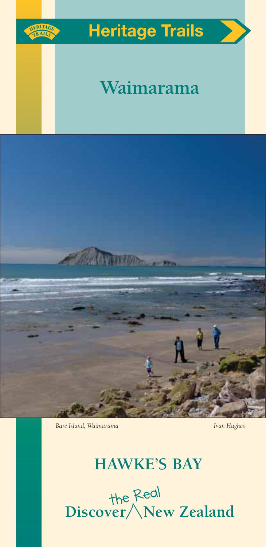

# **Heritage Trails**

# **Waimarama**



**Bare Island, Waimarama** *Ivan Hughes Ivan Hughes* 

# **HAWKE'S BAY**

the Real<br>**Discover** New Zealand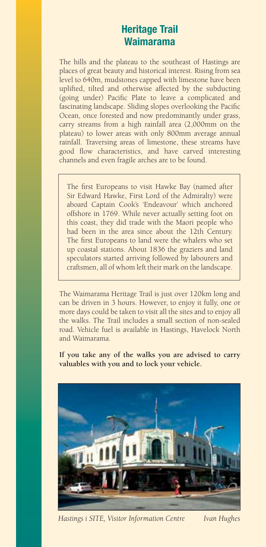# **Heritage Trail Waimarama**

The hills and the plateau to the southeast of Hastings are places of great beauty and historical interest. Rising from sea level to 640m, mudstones capped with limestone have been uplifted, tilted and otherwise affected by the subducting (going under) Pacific Plate to leave a complicated and fascinating landscape. Sliding slopes overlooking the Pacific Ocean, once forested and now predominantly under grass, carry streams from a high rainfall area (2,000mm on the plateau) to lower areas with only 800mm average annual rainfall. Traversing areas of limestone, these streams have good flow characteristics, and have carved interesting channels and even fragile arches are to be found.

The first Europeans to visit Hawke Bay (named after Sir Edward Hawke, First Lord of the Admiralty) were aboard Captain Cook's 'Endeavour' which anchored offshore in 1769. While never actually setting foot on this coast, they did trade with the Maori people who had been in the area since about the 12th Century. The first Europeans to land were the whalers who set up coastal stations. About 1836 the graziers and land speculators started arriving followed by labourers and craftsmen, all of whom left their mark on the landscape.

The Waimarama Heritage Trail is just over 120km long and can be driven in 3 hours. However, to enjoy it fully, one or more days could be taken to visit all the sites and to enjoy all the walks. The Trail includes a small section of non-sealed road. Vehicle fuel is available in Hastings, Havelock North and Waimarama.

**If you take any of the walks you are advised to carry valuables with you and to lock your vehicle.**



*Hastings i SITE, Visitor Information Centre Ivan Hughes*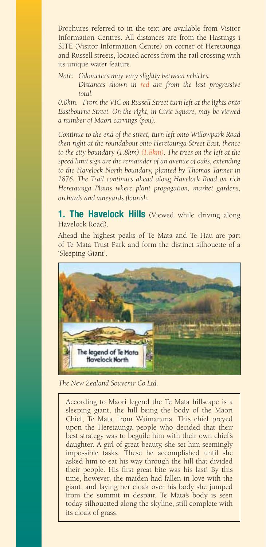Brochures referred to in the text are available from Visitor Information Centres. All distances are from the Hastings i SITE (Visitor Information Centre) on corner of Heretaunga and Russell streets, located across from the rail crossing with its unique water feature.

*Note: Odometers may vary slightly between vehicles.*

 *Distances shown in red are from the last progressive total.* 

*0.0km. From the VIC on Russell Street turn left at the lights onto Eastbourne Street. On the right, in Civic Square, may be viewed a number of Maori carvings (pou).*

*Continue to the end of the street, turn left onto Willowpark Road then right at the roundabout onto Heretaunga Street East, thence to the city boundary (1.8km) (1.8km). The trees on the left at the speed limit sign are the remainder of an avenue of oaks, extending to the Havelock North boundary, planted by Thomas Tanner in 1876. The Trail continues ahead along Havelock Road on rich Heretaunga Plains where plant propagation, market gardens, orchards and vineyards flourish.*

**1. The Havelock Hills** (Viewed while driving along Havelock Road).

Ahead the highest peaks of Te Mata and Te Hau are part of Te Mata Trust Park and form the distinct silhouette of a 'Sleeping Giant'.



*The New Zealand Souvenir Co Ltd.*

According to Maori legend the Te Mata hillscape is a sleeping giant, the hill being the body of the Maori Chief, Te Mata, from Waimarama. This chief preyed upon the Heretaunga people who decided that their best strategy was to beguile him with their own chief's daughter. A girl of great beauty, she set him seemingly impossible tasks. These he accomplished until she asked him to eat his way through the hill that divided their people. His first great bite was his last! By this time, however, the maiden had fallen in love with the giant, and laying her cloak over his body she jumped from the summit in despair. Te Mata's body is seen today silhouetted along the skyline, still complete with its cloak of grass.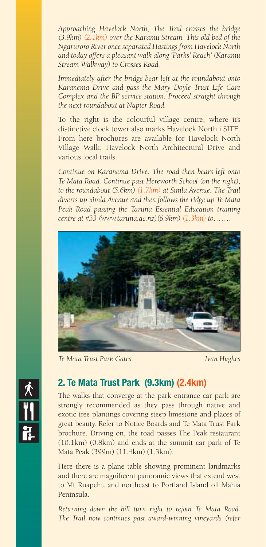*Approaching Havelock North, The Trail crosses the bridge (3.9km) (2.1km) over the Karamu Stream. This old bed of the Ngaruroro River once separated Hastings from Havelock North and today offers a pleasant walk along 'Parks' Reach' (Karamu Stream Walkway) to Crosses Road.* 

*Immediately after the bridge bear left at the roundabout onto Karanema Drive and pass the Mary Doyle Trust Life Care Complex and the BP service station. Proceed straight through the next roundabout at Napier Road.*

To the right is the colourful village centre, where it's distinctive clock tower also marks Havelock North i SITE. From here brochures are available for Havelock North Village Walk, Havelock North Architectural Drive and various local trails.

*Continue on Karanema Drive. The road then bears left onto Te Mata Road. Continue past Hereworth School (on the right), to the roundabout (5.6km) (1.7km) at Simla Avenue. The Trail diverts up Simla Avenue and then follows the ridge up Te Mata Peak Road passing the Taruna Essential Education training centre at #33 (www.taruna.ac.nz)(6.9km) (1.3km) to…….*



*Te Mata Trust Park Gates Ivan Hughes*



# **2. Te Mata Trust Park (9.3km) (2.4km)**

The walks that converge at the park entrance car park are strongly recommended as they pass through native and exotic tree plantings covering steep limestone and places of great beauty. Refer to Notice Boards and Te Mata Trust Park brochure. Driving on, the road passes The Peak restaurant (10.1km) (0.8km) and ends at the summit car park of Te Mata Peak (399m) (11.4km) (1.3km).

Here there is a plane table showing prominent landmarks and there are magnificent panoramic views that extend west to Mt Ruapehu and northeast to Portland Island off Mahia Peninsula.

*Returning down the hill turn right to rejoin Te Mata Road. The Trail now continues past award-winning vineyards (refer*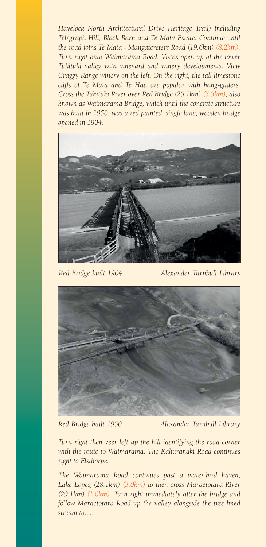*Havelock North Architectural Drive Heritage Trail) including Telegraph Hill, Black Barn and Te Mata Estate. Continue until the road joins Te Mata - Mangateretere Road (19.6km) (8.2km). Turn right onto Waimarama Road. Vistas open up of the lower Tukituki valley with vineyard and winery developments. View Craggy Range winery on the left. On the right, the tall limestone cliffs of Te Mata and Te Hau are popular with hang-gliders. Cross the Tukituki River over Red Bridge (25.1km) (5.5km), also known as Waimarama Bridge, which until the concrete structure was built in 1950, was a red painted, single lane, wooden bridge opened in 1904.* 



*Red Bridge built 1904 Alexander Turnbull Library*



*Red Bridge built 1950 Alexander Turnbull Library*

*Turn right then veer left up the hill identifying the road corner with the route to Waimarama. The Kahuranaki Road continues right to Elsthorpe.*

*The Waimarama Road continues past a water-bird haven, Lake Lopez (28.1km) (3.0km) to then cross Maraetotara River (29.1km) (1.0km). Turn right immediately after the bridge and follow Maraetotara Road up the valley alongside the tree-lined stream to….*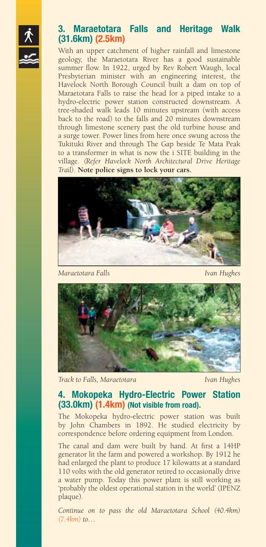

# **3. Maraetotara Falls and Heritage Walk (31.6km) (2.5km)**

With an upper catchment of higher rainfall and limestone geology, the Maraetotara River has a good sustainable summer flow. In 1922, urged by Rev Robert Waugh, local Presbyterian minister with an engineering interest, the Havelock North Borough Council built a dam on top of Maraetotara Falls to raise the head for a piped intake to a hydro-electric power station constructed downstream. A tree-shaded walk leads 10 minutes upstream (with access back to the road) to the falls and 20 minutes downstream through limestone scenery past the old turbine house and a surge tower. Power lines from here once swung across the Tukituki River and through The Gap beside Te Mata Peak to a transformer in what is now the i SITE building in the village. *(Refer Havelock North Architectural Drive Heritage Trail)*. **Note police signs to lock your cars.**



*Maraetotara Falls Ivan Hughes*



*Track to Falls, Maraetotara Ivan Hughes*

## **4. Mokopeka Hydro-Electric Power Station (33.0km) (1.4km) (Not visible from road).**

The Mokopeka hydro-electric power station was built by John Chambers in 1892. He studied electricity by correspondence before ordering equipment from London.

The canal and dam were built by hand. At first a 14HP generator lit the farm and powered a workshop. By 1912 he had enlarged the plant to produce 17 kilowatts at a standard 110 volts with the old generator retired to occasionally drive a water pump. Today this power plant is still working as 'probably the oldest operational station in the world' (IPENZ plaque).

*Continue on to pass the old Maraetotara School (40.4km) (7.4km) to…*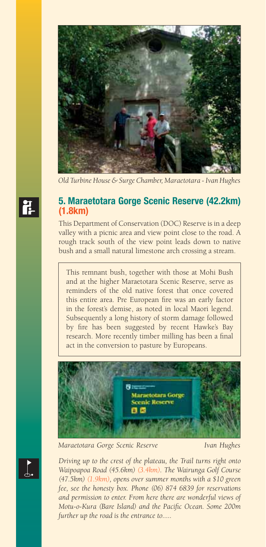

*Old Turbine House & Surge Chamber, Maraetotara - Ivan Hughes*

#### **5. Maraetotara Gorge Scenic Reserve (42.2km) (1.8km)**

This Department of Conservation (DOC) Reserve is in a deep valley with a picnic area and view point close to the road. A rough track south of the view point leads down to native bush and a small natural limestone arch crossing a stream.

This remnant bush, together with those at Mohi Bush and at the higher Maraetotara Scenic Reserve, serve as reminders of the old native forest that once covered this entire area. Pre European fire was an early factor in the forest's demise, as noted in local Maori legend. Subsequently a long history of storm damage followed by fire has been suggested by recent Hawke's Bay research. More recently timber milling has been a final act in the conversion to pasture by Europeans.



*Maraetotara Gorge Scenic Reserve Ivan Hughes*

*Driving up to the crest of the plateau, the Trail turns right onto Waipoapoa Road (45.6km) (3.4km). The Wairunga Golf Course (47.5km) (1.9km), opens over summer months with a \$10 green fee, see the honesty box. Phone (06) 874 6839 for reservations and permission to enter. From here there are wonderful views of Motu-o-Kura (Bare Island) and the Pacific Ocean. Some 200m further up the road is the entrance to.....*



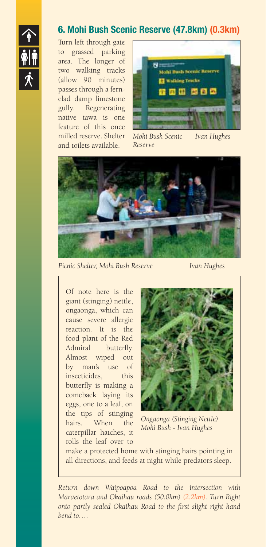

# **6. Mohi Bush Scenic Reserve (47.8km) (0.3km)**

Turn left through gate to grassed parking area. The longer of two walking tracks (allow 90 minutes) passes through a fernclad damp limestone gully. Regenerating native tawa is one feature of this once and toilets available.



milled reserve. Shelter *Mohi Bush Scenic Ivan Hughes Reserve* 



*Picnic Shelter, Mohi Bush Reserve Ivan Hughes*

Of note here is the giant (stinging) nettle, ongaonga, which can cause severe allergic reaction. It is the food plant of the Red Admiral butterfly. Almost wiped out by man's use of insecticides, this butterfly is making a comeback laying its eggs, one to a leaf, on the tips of stinging hairs. When the caterpillar hatches, it rolls the leaf over to



*Ongaonga (Stinging Nettle) Mohi Bush - Ivan Hughes* 

make a protected home with stinging hairs pointing in all directions, and feeds at night while predators sleep.

*Return down Waipoapoa Road to the intersection with Maraetotara and Okaihau roads (50.0km) (2.2km). Turn Right onto partly sealed Okaihau Road to the first slight right hand bend to….*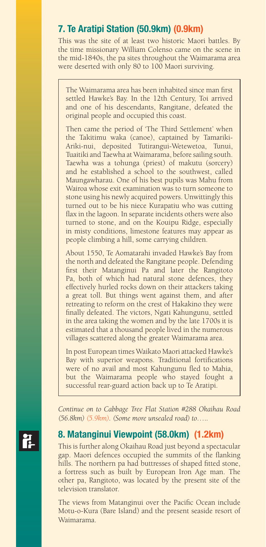# **7. Te Aratipi Station (50.9km) (0.9km)**

This was the site of at least two historic Maori battles. By the time missionary William Colenso came on the scene in the mid-1840s, the pa sites throughout the Waimarama area were deserted with only 80 to 100 Maori surviving.

The Waimarama area has been inhabited since man first settled Hawke's Bay. In the 12th Century, Toi arrived and one of his descendants, Rangitane, defeated the original people and occupied this coast.

Then came the period of 'The Third Settlement' when the Takitimu waka (canoe), captained by Tamariki-Ariki-nui, deposited Tutirangui-Wetewetoa, Tunui, Tuaitiki and Taewha at Waimarama, before sailing south. Taewha was a tohunga (priest) of makutu (sorcery) and he established a school to the southwest, called Maungawharau. One of his best pupils was Mahu from Wairoa whose exit examination was to turn someone to stone using his newly acquired powers. Unwittingly this turned out to be his niece Kurapatiu who was cutting flax in the lagoon. In separate incidents others were also turned to stone, and on the Kouipu Ridge, especially in misty conditions, limestone features may appear as people climbing a hill, some carrying children.

About 1550, Te Aomatarahi invaded Hawke's Bay from the north and defeated the Rangitane people. Defending first their Matanginui Pa and later the Rangitoto Pa, both of which had natural stone defences, they effectively hurled rocks down on their attackers taking a great toll. But things went against them, and after retreating to reform on the crest of Hakakino they were finally defeated. The victors, Ngati Kahungunu, settled in the area taking the women and by the late 1700s it is estimated that a thousand people lived in the numerous villages scattered along the greater Waimarama area.

In post European times Waikato Maori attacked Hawke's Bay with superior weapons. Traditional fortifications were of no avail and most Kahungunu fled to Mahia, but the Waimarama people who stayed fought a successful rear-guard action back up to Te Aratipi.

*Continue on to Cabbage Tree Flat Station #288 Okaihau Road (56.8km) (5.9km). (Some more unsealed road) to…..*

## **8. Matanginui Viewpoint (58.0km) (1.2km)**

This is further along Okaihau Road just beyond a spectacular gap. Maori defences occupied the summits of the flanking hills. The northern pa had buttresses of shaped fitted stone, a fortress such as built by European Iron Age man. The other pa, Rangitoto, was located by the present site of the television translator.

The views from Matanginui over the Pacific Ocean include Motu-o-Kura (Bare Island) and the present seaside resort of Waimarama.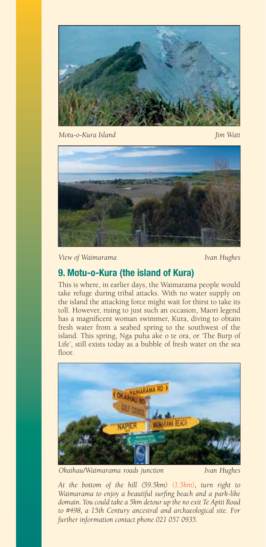

*Motu-o-Kura Island Jim Watt*



**View of Waimarama** *Ivan Hughes* 

# **9. Motu-o-Kura (the island of Kura)**

This is where, in earlier days, the Waimarama people would take refuge during tribal attacks. With no water supply on the island the attacking force might wait for thirst to take its toll. However, rising to just such an occasion, Maori legend has a magnificent woman swimmer, Kura, diving to obtain fresh water from a seabed spring to the southwest of the island. This spring, Nga puha ake o te ora, or 'The Burp of Life', still exists today as a bubble of fresh water on the sea floor.



*Okaihau/Waimarama roads junction Ivan Hughes* 

*At the bottom of the hill (59.5km) (1.5km), turn right to Waimarama to enjoy a beautiful surfing beach and a park-like domain. You could take a 5km detour up the no exit Te Apiti Road to #498, a 15th Century ancestral and archaeological site. For further information contact phone 021 057 0935.*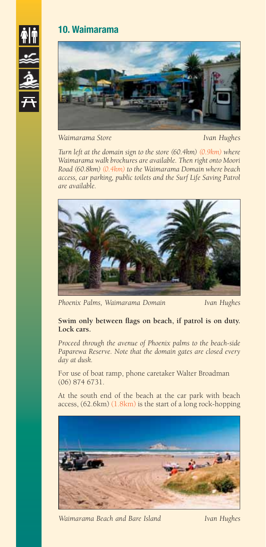





*Waimarama Store Ivan Hughes*

*Turn left at the domain sign to the store (60.4km) (0.9km) where Waimarama walk brochures are available. Then right onto Moori Road (60.8km) (0.4km) to the Waimarama Domain where beach access, car parking, public toilets and the Surf Life Saving Patrol are available.* 



*Phoenix Palms, Waimarama Domain Ivan Hughes*

**Swim only between flags on beach, if patrol is on duty. Lock cars.**

*Proceed through the avenue of Phoenix palms to the beach-side Paparewa Reserve. Note that the domain gates are closed every day at dusk.* 

For use of boat ramp, phone caretaker Walter Broadman (06) 874 6731.

At the south end of the beach at the car park with beach access, (62.6km) (1.8km) is the start of a long rock-hopping



*Waimarama Beach and Bare Island Ivan Hughes*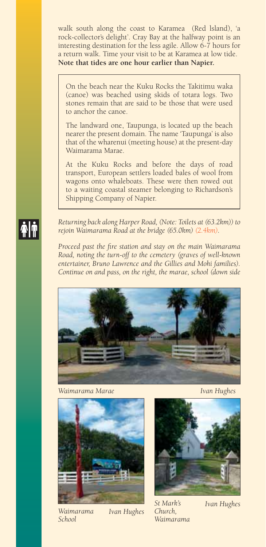walk south along the coast to Karamea (Red lsland), 'a rock-collector's delight'. Cray Bay at the halfway point is an interesting destination for the less agile. Allow 6-7 hours for a return walk. Time your visit to be at Karamea at low tide. **Note that tides are one hour earlier than Napier.** 

On the beach near the Kuku Rocks the Takitimu waka (canoe) was beached using skids of totara logs. Two stones remain that are said to be those that were used to anchor the canoe.

The landward one, Taupunga, is located up the beach nearer the present domain. The name 'Taupunga' is also that of the wharenui (meeting house) at the present-day Waimarama Marae.

At the Kuku Rocks and before the days of road transport, European settlers loaded bales of wool from wagons onto whaleboats. These were then rowed out to a waiting coastal steamer belonging to Richardson's Shipping Company of Napier.

*Returning back along Harper Road, (Note: Toilets at (63.2km)) to rejoin Waimarama Road at the bridge (65.0km) (2.4km).*

*Proceed past the fire station and stay on the main Waimarama Road, noting the turn-off to the cemetery (graves of well-known entertainer, Bruno Lawrence and the Gillies and Mohi families). Continue on and pass, on the right, the marae, school (down side* 



*Waimarama Marae Ivan Hughes*



*Waimarama School* 

*Ivan Hughes*



*St Mark's Church, Waimarama* 

*Ivan Hughes*

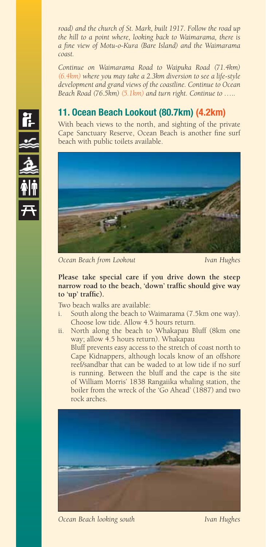*road) and the church of St. Mark, built 1917. Follow the road up the hill to a point where, looking back to Waimarama, there is a fine view of Motu-o-Kura (Bare Island) and the Waimarama coast.*

*Continue on Waimarama Road to Waipuka Road (71.4km) (6.4km) where you may take a 2.3km diversion to see a life-style development and grand views of the coastline. Continue to Ocean Beach Road (76.5km) (5.1km) and turn right. Continue to …..*

# **11. Ocean Beach Lookout (80.7km) (4.2km)**

With beach views to the north, and sighting of the private Cape Sanctuary Reserve, Ocean Beach is another fine surf beach with public toilets available.



*Ocean Beach from Lookout Ivan Hughes*

#### **Please take special care if you drive down the steep narrow road to the beach, 'down' traffic should give way to 'up' traffic).**

Two beach walks are available:

- South along the beach to Waimarama (7.5km one way). Choose low tide. Allow 4.5 hours return.
- ii. North along the beach to Whakapau Bluff (8km one way; allow 4.5 hours return). Whakapau

 Bluff prevents easy access to the stretch of coast north to Cape Kidnappers, although locals know of an offshore reef/sandbar that can be waded to at low tide if no surf is running. Between the bluff and the cape is the site of William Morris' 1838 Rangaiika whaling station, the boiler from the wreck of the 'Go Ahead' (1887) and two rock arches.



*Ocean Beach looking south Ivan Hughes*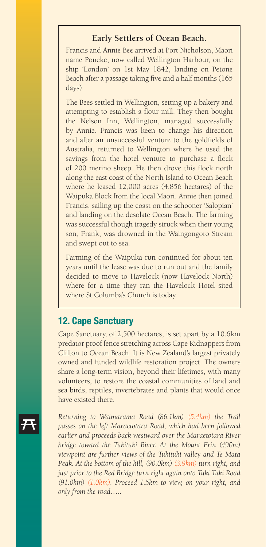#### **Early Settlers of Ocean Beach.**

Francis and Annie Bee arrived at Port Nicholson, Maori name Poneke, now called Wellington Harbour, on the ship 'London' on 1st May 1842, landing on Petone Beach after a passage taking five and a half months (165 days).

The Bees settled in Wellington, setting up a bakery and attempting to establish a flour mill. They then bought the Nelson Inn, Wellington, managed successfully by Annie. Francis was keen to change his direction and after an unsuccessful venture to the goldfields of Australia, returned to Wellington where he used the savings from the hotel venture to purchase a flock of 200 merino sheep. He then drove this flock north along the east coast of the North Island to Ocean Beach where he leased 12,000 acres (4,856 hectares) of the Waipuka Block from the local Maori. Annie then joined Francis, sailing up the coast on the schooner 'Salopian' and landing on the desolate Ocean Beach. The farming was successful though tragedy struck when their young son, Frank, was drowned in the Waingongoro Stream and swept out to sea.

Farming of the Waipuka run continued for about ten years until the lease was due to run out and the family decided to move to Havelock (now Havelock North) where for a time they ran the Havelock Hotel sited where St Columba's Church is today.

#### **12. Cape Sanctuary**

Cape Sanctuary, of 2,500 hectares, is set apart by a 10.6km predator proof fence stretching across Cape Kidnappers from Clifton to Ocean Beach. It is New Zealand's largest privately owned and funded wildlife restoration project. The owners share a long-term vision, beyond their lifetimes, with many volunteers, to restore the coastal communities of land and sea birds, reptiles, invertebrates and plants that would once have existed there.

*Returning to Waimarama Road (86.1km) (5.4km) the Trail passes on the left Maraetotara Road, which had been followed earlier and proceeds back westward over the Maraetotara River bridge toward the Tukituki River. At the Mount Erin (490m) viewpoint are further views of the Tukituki valley and Te Mata Peak. At the bottom of the hill, (90.0km) (3.9km) turn right, and just prior to the Red Bridge turn right again onto Tuki Tuki Road (91.0km) (1.0km). Proceed 1.5km to view, on your right, and only from the road…..* 

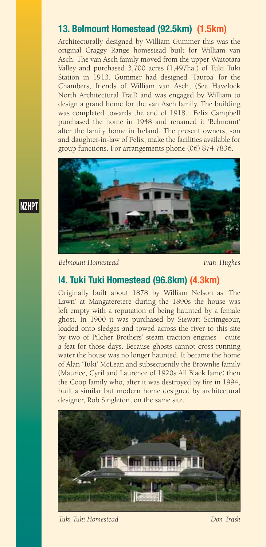# **13. Belmount Homestead (92.5km) (1.5km)**

Architecturally designed by William Gummer this was the original Craggy Range homestead built for William van Asch. The van Asch family moved from the upper Waitotara Valley and purchased 3,700 acres (1,497ha.) of Tuki Tuki Station in 1913. Gummer had designed 'Tauroa' for the Chambers, friends of William van Asch, (See Havelock North Architectural Trail) and was engaged by William to design a grand home for the van Asch family. The building was completed towards the end of 1918. Felix Campbell purchased the home in 1948 and renamed it 'Belmount' after the family home in Ireland. The present owners, son and daughter-in-law of Felix, make the facilities available for group functions. For arrangements phone (06) 874 7836.



*Belmount Homestead Ivan Hughes*

**NZHPT** 

# **I4. Tuki Tuki Homestead (96.8km) (4.3km)**

Originally built about 1878 by William Nelson as 'The Lawn' at Mangateretere during the 1890s the house was left empty with a reputation of being haunted by a female ghost. In 1900 it was purchased by Stewart Scrimgeour, loaded onto sledges and towed across the river to this site by two of Pilcher Brothers' steam traction engines - quite a feat for those days. Because ghosts cannot cross running water the house was no longer haunted. It became the home of Alan 'Tuki' McLean and subsequently the Brownlie family (Maurice, Cyril and Laurence of 1920s All Black fame) then the Coop family who, after it was destroyed by fire in 1994, built a similar but modern home designed by architectural designer, Rob Singleton, on the same site.



*Tuki Tuki Homestead Don Trask*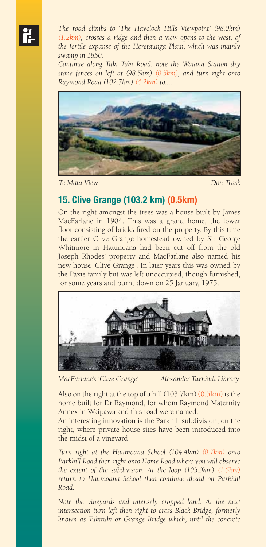*The road climbs to 'The Havelock Hills Viewpoint' (98.0km) (1.2km), crosses a ridge and then a view opens to the west, of the fertile expanse of the Heretaunga Plain, which was mainly swamp in 1850.* 

*Continue along Tuki Tuki Road, note the Waiana Station dry stone fences on left at (98.5km) (0.5km), and turn right onto Raymond Road (102.7km) (4.2km) to....*



*Te Mata View Don Trask*

# **15. Clive Grange (103.2 km) (0.5km)**

On the right amongst the trees was a house built by James MacFarlane in 1904. This was a grand home, the lower floor consisting of bricks fired on the property. By this time the earlier Clive Grange homestead owned by Sir George Whitmore in Haumoana had been cut off from the old Joseph Rhodes' property and MacFarlane also named his new house 'Clive Grange'. In later years this was owned by the Paxie family but was left unoccupied, though furnished, for some years and burnt down on 25 January, 1975.



*MacFarlane's 'Clive Grange' Alexander Turnbull Library*

Also on the right at the top of a hill (103.7km) (0.5km) is the home built for Dr Raymond, for whom Raymond Maternity Annex in Waipawa and this road were named.

An interesting innovation is the Parkhill subdivision, on the right, where private house sites have been introduced into the midst of a vineyard.

*Turn right at the Haumoana School (104.4km) (0.7km) onto Parkhill Road then right onto Home Road where you will observe the extent of the subdivision. At the loop (105.9km) (1.5km) return to Haumoana School then continue ahead on Parkhill Road.*

*Note the vineyards and intensely cropped land. At the next intersection turn left then right to cross Black Bridge, formerly known as Tukituki or Grange Bridge which, until the concrete*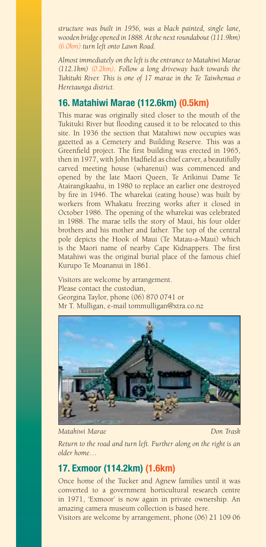*structure was built in 1956, was a black painted, single lane, wooden bridge opened in 1888. At the next roundabout (111.9km) (6.0km) turn left onto Lawn Road.*

*Almost immediately on the left is the entrance to Matahiwi Marae (112.1km) (0.2km). Follow a long driveway back towards the Tukituki River. This is one of 17 marae in the Te Taiwhenua o Heretaunga district.* 

# **16. Matahiwi Marae (112.6km) (0.5km)**

This marae was originally sited closer to the mouth of the Tukituki River but flooding caused it to be relocated to this site. In 1936 the section that Matahiwi now occupies was gazetted as a Cemetery and Building Reserve. This was a Greenfield project. The first building was erected in 1965, then in 1977, with John Hadfield as chief carver, a beautifully carved meeting house (wharenui) was commenced and opened by the late Maori Queen, Te Arikinui Dame Te Atairangikaahu, in 1980 to replace an earlier one destroyed by fire in 1946. The wharekai (eating house) was built by workers from Whakatu freezing works after it closed in October 1986. The opening of the wharekai was celebrated in 1988. The marae tells the story of Maui, his four older brothers and his mother and father. The top of the central pole depicts the Hook of Maui (Te Matau-a-Maui) which is the Maori name of nearby Cape Kidnappers. The first Matahiwi was the original burial place of the famous chief Kurupo Te Moananui in 1861.

Visitors are welcome by arrangement. Please contact the custodian, Georgina Taylor, phone (06) 870 0741 or Mr T. Mulligan, e-mail tommulligan@xtra.co.nz



*Matahiwi Marae Don Trask*

*Return to the road and turn left. Further along on the right is an older home…*

# **17. Exmoor (114.2km) (1.6km)**

Once home of the Tucker and Agnew families until it was converted to a government horticultural research centre in 1971, 'Exmoor' is now again in private ownership. An amazing camera museum collection is based here.

Visitors are welcome by arrangement, phone (06) 21 109 06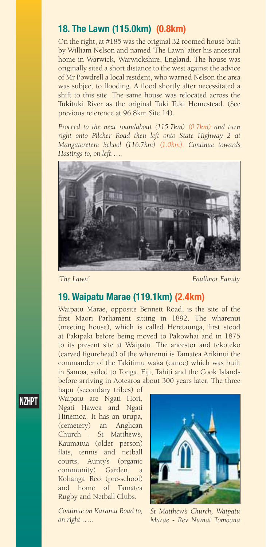#### **18. The Lawn (115.0km) (0.8km)**

On the right, at #185 was the original 32 roomed house built by William Nelson and named 'The Lawn' after his ancestral home in Warwick, Warwickshire, England. The house was originally sited a short distance to the west against the advice of Mr Powdrell a local resident, who warned Nelson the area was subject to flooding. A flood shortly after necessitated a shift to this site. The same house was relocated across the Tukituki River as the original Tuki Tuki Homestead. (See previous reference at 96.8km Site 14).

*Proceed to the next roundabout (115.7km) (0.7km) and turn right onto Pilcher Road then left onto State Highway 2 at Mangateretere School (116.7km) (1.0km). Continue towards Hastings to, on left…..*



*'The Lawn'* Faulknor Family

## **19. Waipatu Marae (119.1km) (2.4km)**

Waipatu Marae, opposite Bennett Road, is the site of the first Maori Parliament sitting in 1892. The wharenui (meeting house), which is called Heretaunga, first stood at Pakipaki before being moved to Pakowhai and in 1875 to its present site at Waipatu. The ancestor and tekoteko (carved figurehead) of the wharenui is Tamatea Arikinui the commander of the Takitimu waka (canoe) which was built in Samoa, sailed to Tonga, Fiji, Tahiti and the Cook Islands before arriving in Aotearoa about 300 years later. The three

hapu (secondary tribes) of Waipatu are Ngati Hori, Ngati Hawea and Ngati Hinemoa. It has an urupa, (cemetery) an Anglican Church - St Matthew's, Kaumatua (older person) flats, tennis and netball courts, Aunty's (organic community) Garden, a Kohanga Reo (pre-school) and home of Tamatea Rugby and Netball Clubs.

*Continue on Karamu Road to, on right …..*



*St Matthew's Church, Waipatu Marae - Rev Numai Tomoana*

#### **NZHPT**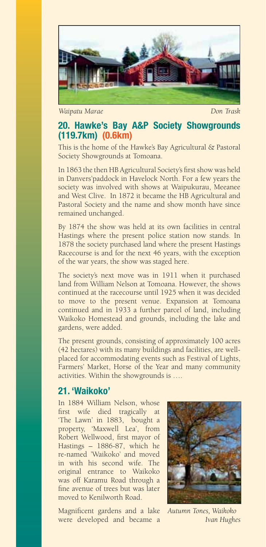

*Waipatu Marae Don Trask*

#### **20. Hawke's Bay A&P Society Showgrounds (119.7km) (0.6km)**

This is the home of the Hawke's Bay Agricultural & Pastoral Society Showgrounds at Tomoana.

In 1863 the then HB Agricultural Society's first show was held in Danvers'paddock in Havelock North. For a few years the society was involved with shows at Waipukurau, Meeanee and West Clive. In 1872 it became the HB Agricultural and Pastoral Society and the name and show month have since remained unchanged.

By 1874 the show was held at its own facilities in central Hastings where the present police station now stands. In 1878 the society purchased land where the present Hastings Racecourse is and for the next 46 years, with the exception of the war years, the show was staged here.

The society's next move was in 1911 when it purchased land from William Nelson at Tomoana. However, the shows continued at the racecourse until 1925 when it was decided to move to the present venue. Expansion at Tomoana continued and in 1933 a further parcel of land, including Waikoko Homestead and grounds, including the lake and gardens, were added.

The present grounds, consisting of approximately 100 acres (42 hectares) with its many buildings and facilities, are wellplaced for accommodating events such as Festival of Lights, Farmers' Market, Horse of the Year and many community activities. Within the showgrounds is ….

#### **21. 'Waikoko'**

In 1884 William Nelson, whose first wife died tragically at 'The Lawn' in 1883, bought a property, 'Maxwell Lea', from Robert Wellwood, first mayor of Hastings – 1886-87, which he re-named 'Waikoko' and moved in with his second wife. The original entrance to Waikoko was off Karamu Road through a fine avenue of trees but was later moved to Kenilworth Road.

Magnificent gardens and a lake were developed and became a



*Autumn Tones, Waikoko Ivan Hughes*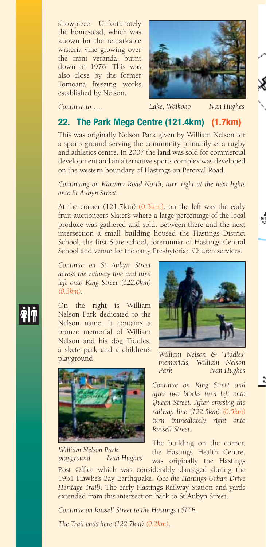showpiece. Unfortunately the homestead, which was known for the remarkable wisteria vine growing over the front veranda, burnt down in 1976. This was also close by the former Tomoana freezing works established by Nelson.



*Continue to…..*

*Lake, Waikoko Ivan Hughes*

# **22. The Park Mega Centre (121.4km) (1.7km)**

This was originally Nelson Park given by William Nelson for a sports ground serving the community primarily as a rugby and athletics centre. In 2007 the land was sold for commercial development and an alternative sports complex was developed on the western boundary of Hastings on Percival Road.

*Continuing on Karamu Road North, turn right at the next lights onto St Aubyn Street.*

At the corner (121.7km) (0.3km), on the left was the early fruit auctioneers Slater's where a large percentage of the local produce was gathered and sold. Between there and the next intersection a small building housed the Hastings District School, the first State school, forerunner of Hastings Central School and venue for the early Presbyterian Church services.

*Continue on St Aubyn Street across the railway line and turn left onto King Street (122.0km) (0.3km).*

On the right is William Nelson Park dedicated to the Nelson name. It contains a bronze memorial of William Nelson and his dog Tiddles, a skate park and a children's playground.



*William Nelson Park <u>Ivan Hughes</u>* 



*William Nelson & 'Tiddles' memorials, William Nelson Ivan Hughes* 

*Continue on King Street and after two blocks turn left onto Queen Street. After crossing the railway line (122.5km) (0.5km) turn immediately right onto Russell Street.* 

The building on the corner, the Hastings Health Centre, was originally the Hastings

Post Office which was considerably damaged during the 1931 Hawke's Bay Earthquake. *(See the Hastings Urban Drive Heritage Trail)*. The early Hastings Railway Station and yards extended from this intersection back to St Aubyn Street.

*Continue on Russell Street to the Hastings i SITE.* 

*The Trail ends here (122.7km) (0.2km).*

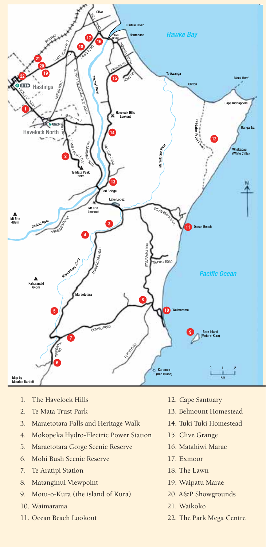

- 1. The Havelock Hills
- 2. Te Mata Trust Park
- 3. Maraetotara Falls and Heritage Walk
- 4. Mokopeka Hydro-Electric Power Station
- 5. Maraetotara Gorge Scenic Reserve
- 6. Mohi Bush Scenic Reserve
- 7. Te Aratipi Station
- 8. Matanginui Viewpoint
- 9. Motu-o-Kura (the island of Kura)
- 10. Waimarama
- 11. Ocean Beach Lookout
- 12. Cape Santuary
- 13. Belmount Homestead
- 14. Tuki Tuki Homestead
- 15. Clive Grange
- 16. Matahiwi Marae
- 17. Exmoor
- 18. The Lawn
- 19. Waipatu Marae
- 20. A&P Showgrounds
- 21. Waikoko
- 22. The Park Mega Centre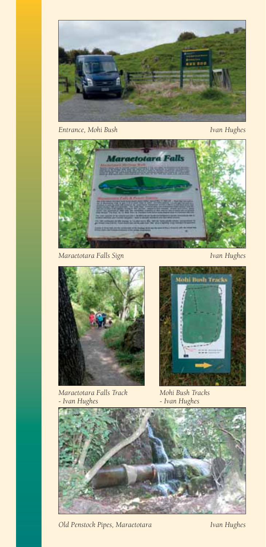

*Entrance, Mohi Bush Ivan Hughes* 





*Maraetotara Falls Track - Ivan Hughes* 



*Mohi Bush Tracks - Ivan Hughes* 



*Old Penstock Pipes, Maraetotara Ivan Hughes*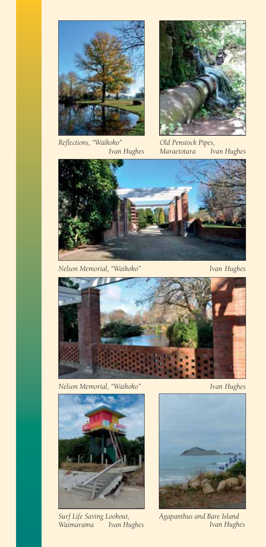

*Reflections, "Waikoko" Ivan Hughes* 



*Old Penstock Pipes,*   $I$ van Hughes



*Nelson Memorial, "Waikoko" Ivan Hughes* 



*Nelson Memorial, "Waikoko" Ivan Hughes* 



*Surf Life Saving Lookout, Ivan Hughes* 



*Agapanthus and Bare Island Ivan Hughes*